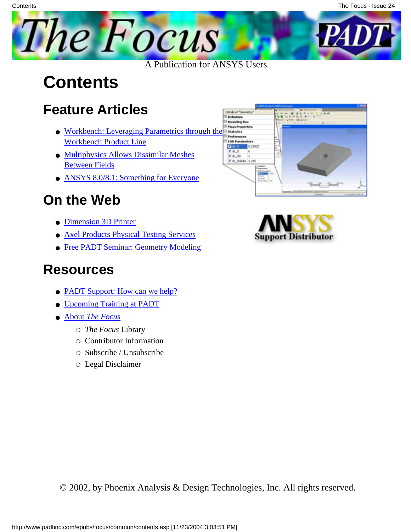

A Publication for ANSYS Users

## **Contents**

### **Feature Articles**

- [Workbench: Leveraging Parametrics through the](#page-1-0) [Workbench Product Line](#page-1-0)
- [Multiphysics Allows Dissimilar Meshes](#page-7-0) [Between Fields](#page-7-0)
- [ANSYS 8.0/8.1: Something for Everyone](#page-9-0)

### **On the Web**

- [Dimension 3D Printer](http://www.padtinc.com/epubs/focus/2004/0024_0210/extra1.htm)
- [Axel Products Physical Testing Services](http://www.padtinc.com/epubs/focus/2004/0024_0210/extra2.htm)
- [Free PADT Seminar: Geometry Modeling](http://www.padtinc.com/epubs/focus/2004/0024_0210/extra3.htm)

#### **Resources**

- [PADT Support: How can we help?](http://www.padtinc.com/support)
- [Upcoming Training at PADT](#page-13-0)
- **About** *[The Focus](#page-14-0)* 
	- ❍ *The Focus* Library
	- ❍ Contributor Information
	- ❍ Subscribe / Unsubscribe
	- ❍ Legal Disclaimer





© 2002, by Phoenix Analysis & Design Technologies, Inc. All rights reserved.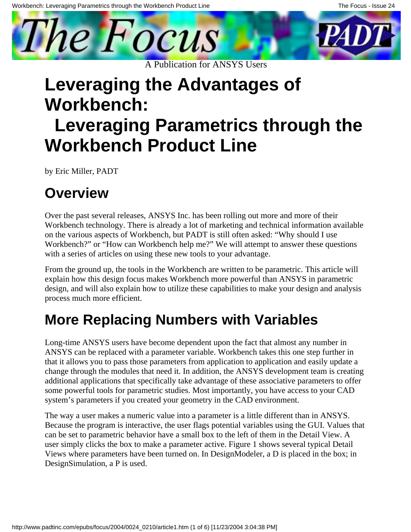<span id="page-1-0"></span>

# **Leveraging the Advantages of Workbench:**

# **Leveraging Parametrics through the Workbench Product Line**

by Eric Miller, PADT

### **Overview**

Over the past several releases, ANSYS Inc. has been rolling out more and more of their Workbench technology. There is already a lot of marketing and technical information available on the various aspects of Workbench, but PADT is still often asked: "Why should I use Workbench?" or "How can Workbench help me?" We will attempt to answer these questions with a series of articles on using these new tools to your advantage.

From the ground up, the tools in the Workbench are written to be parametric. This article will explain how this design focus makes Workbench more powerful than ANSYS in parametric design, and will also explain how to utilize these capabilities to make your design and analysis process much more efficient.

## **More Replacing Numbers with Variables**

Long-time ANSYS users have become dependent upon the fact that almost any number in ANSYS can be replaced with a parameter variable. Workbench takes this one step further in that it allows you to pass those parameters from application to application and easily update a change through the modules that need it. In addition, the ANSYS development team is creating additional applications that specifically take advantage of these associative parameters to offer some powerful tools for parametric studies. Most importantly, you have access to your CAD system's parameters if you created your geometry in the CAD environment.

The way a user makes a numeric value into a parameter is a little different than in ANSYS. Because the program is interactive, the user flags potential variables using the GUI. Values that can be set to parametric behavior have a small box to the left of them in the Detail View. A user simply clicks the box to make a parameter active. Figure 1 shows several typical Detail Views where parameters have been turned on. In DesignModeler, a D is placed in the box; in DesignSimulation, a P is used.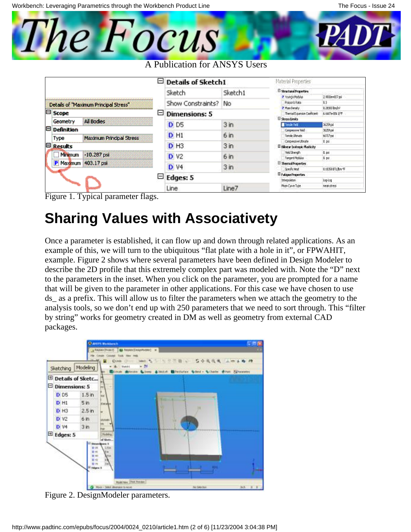

|                                       |                               |                          | -        | <b>Details of Sketch1</b> |                                     | Material Properties                                      |                                        |
|---------------------------------------|-------------------------------|--------------------------|----------|---------------------------|-------------------------------------|----------------------------------------------------------|----------------------------------------|
|                                       |                               |                          |          | Sketch                    | Sketch1                             | <b>El Stractural Properties</b><br>P. Youngs Modulus     | 2.9800e+807 psi                        |
| Details of "Maximum Principal Stress" |                               |                          |          | Show Constraints?         | No                                  | Foisson's Ratio                                          | ĿЗ                                     |
| E Scope                               |                               |                          |          | <b>Dimensions: 5</b>      |                                     | P. Mass Density<br>Tramal Expansion Conflicient:         | 1.7830 lim/s/<br><b>E-MATH-ODE LTT</b> |
| е<br>Θ                                | Geometry<br><b>Definition</b> | All Bodies               |          | <b>D</b> D <sub>5</sub>   | 3 <sub>in</sub>                     | El Stress Limits<br><b>Tensie Feld</b>                   | 36259 pd<br>3625 pm                    |
|                                       | Type                          | Maximum Principal Stress |          | $D$ H <sub>1</sub>        | 6 <sub>in</sub>                     | Compressive Yard<br>Tensie Librode                       | 66717 pd                               |
|                                       | <b>Results</b>                |                          |          | $D$ H <sub>3</sub>        | 3 <sub>in</sub>                     | Compressive US such a<br>E Billinear Isotropic Masticity | 1.19                                   |
|                                       | Minimum                       | $-10.287$ psi            |          | <b>D</b> V <sub>2</sub>   | 6 <sub>in</sub>                     | Yeld Strength<br><b>Temperat Plockulus</b>               | 利用<br>L <sub>20</sub>                  |
|                                       | P Maximum                     | 403.17 psi               |          | <b>D</b> V4               | 3 <sub>in</sub>                     | <b>E</b> ThemalPraperties<br>Southcreat                  | LUSSELING'E                            |
|                                       |                               | Ξ                        | Edges: 5 |                           | Palague Properties<br>Interpolition | inglap                                                   |                                        |
|                                       |                               |                          |          | Line                      | Line7                               | Mean Curve Type                                          | <b>R681 ST155</b>                      |

Figure 1. Typical parameter flags.

#### **Sharing Values with Associativety**

Once a parameter is established, it can flow up and down through related applications. As an example of this, we will turn to the ubiquitous "flat plate with a hole in it", or FPWAHIT, example. Figure 2 shows where several parameters have been defined in Design Modeler to describe the 2D profile that this extremely complex part was modeled with. Note the "D" next to the parameters in the inset. When you click on the parameter, you are prompted for a name that will be given to the parameter in other applications. For this case we have chosen to use ds\_ as a prefix. This will allow us to filter the parameters when we attach the geometry to the analysis tools, so we don't end up with 250 parameters that we need to sort through. This "filter by string" works for geometry created in DM as well as geometry from external CAD packages.



Figure 2. DesignModeler parameters.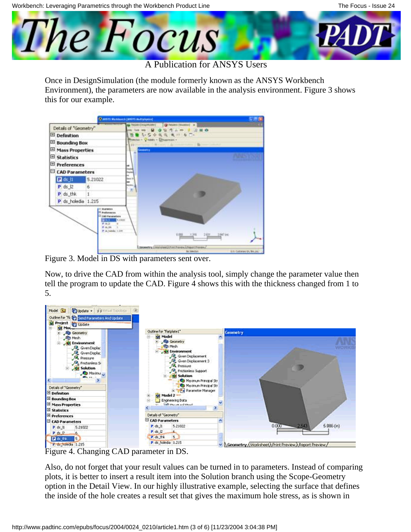Workbench: Leveraging Parametrics through the Workbench Product Line



A Publication for ANSYS Users

Once in DesignSimulation (the module formerly known as the ANSYS Workbench Environment), the parameters are now available in the analysis environment. Figure 3 shows this for our example.

|                           |                                                                                                                                           | <b>Charles's Washington Lines of Auditor Avenue</b><br><b>STAR</b>                                                                                                                |
|---------------------------|-------------------------------------------------------------------------------------------------------------------------------------------|-----------------------------------------------------------------------------------------------------------------------------------------------------------------------------------|
| Details of "Geometry"     |                                                                                                                                           | 42 RAZIN CHAUTOGRY<br>(@ Toksberri (Southborn) at<br>(841)                                                                                                                        |
| <b>El</b> Definition      |                                                                                                                                           | 古今夜夜 夜行 右門                                                                                                                                                                        |
| <b>El Bounding Box</b>    |                                                                                                                                           | Powdan - Q naan - Dibuarrum -<br>Canada La Martin Aleman (1998) - Ba<br><b>HELL CONTROL</b>                                                                                       |
| <b>El Mass Properties</b> |                                                                                                                                           | Generator                                                                                                                                                                         |
| El Statistics             |                                                                                                                                           |                                                                                                                                                                                   |
| <b>El Preferences</b>     |                                                                                                                                           | ÷                                                                                                                                                                                 |
| <b>E CAD Parameters</b>   |                                                                                                                                           | $^{\sim}$                                                                                                                                                                         |
| $R$ ds $H$                | 5.21022                                                                                                                                   | last 5<br>m                                                                                                                                                                       |
| $P$ ds $12$               | 6                                                                                                                                         | <b>Books</b><br>×                                                                                                                                                                 |
| P ds_thk                  | 1                                                                                                                                         |                                                                                                                                                                                   |
| P ds_holedia 1.215        |                                                                                                                                           |                                                                                                                                                                                   |
|                           | <b>IT Students</b><br><b>E</b> featurement<br><b>Little Parameters</b><br><b>FEE</b><br>光体区<br><b>P. (a. 164)</b><br>P. o. Juleile, 1,221 | <b>1,19122</b><br>٠<br>0.000<br>3347 (e)<br>$2401$ .<br>1,316<br>Departing (District per), Park Prevent J. Fogort Provency<br>S.O. Gallenwo (n. 94), and 1<br><b>Big Schedule</b> |

Figure 3. Model in DS with parameters sent over.

**L** 

Now, to drive the CAD from within the analysis tool, simply change the parameter value then tell the program to update the CAD. Figure 4 shows this with the thickness changed from 1 to 5.

| Model 3   C Update - ##Withat Topology                                          |                                                               |                                                              |
|---------------------------------------------------------------------------------|---------------------------------------------------------------|--------------------------------------------------------------|
| Outline for 19 Tend Parameters And Update<br>Project Update<br><b>SE MOLLES</b> |                                                               |                                                              |
| · An Geometry                                                                   | Outline for "Natplate1"                                       | <b>Geometry</b>                                              |
| <b>Re Mech</b>                                                                  | <b>Ing Model</b>                                              | e                                                            |
| <b>Experiment</b>                                                               | - Re Geometry                                                 |                                                              |
| <b>JB</b> GrenDisplac                                                           | <b>Th</b> Mesh                                                |                                                              |
| <b>B</b> Gven Displac                                                           | Set thritonnent                                               |                                                              |
| <b>John Pressure</b>                                                            | <sup>(1)</sup> Gyen Displacement                              |                                                              |
| <b>P</b> <sub>o</sub> Frictionless Si                                           | <sup>(1)</sup> Gyen Displacement 3<br><b>B.</b> Pressure      |                                                              |
| Solution                                                                        | <sup>0</sup> Fectioniess Support                              |                                                              |
| <b>Stations</b>                                                                 | <b>Gil Salution</b>                                           |                                                              |
| <b>COLLEGE</b>                                                                  | Ca Maximum Principal Str.                                     |                                                              |
| Details of "Geometry"                                                           | Ca Maximum Principal Str<br><b>El Terra Parameter Manager</b> |                                                              |
| <b>S</b> Definition                                                             | <b>Set Model 2</b>                                            |                                                              |
| B Bounding Box                                                                  | Engineering Data                                              |                                                              |
| <b>B. Hass Properties</b>                                                       | <b>Good experience and expect</b>                             |                                                              |
| <b>E Statistics</b>                                                             |                                                               |                                                              |
| <b>El Preferences</b>                                                           | Details of "Geometry"                                         |                                                              |
| CAD Parameters                                                                  | CAD Peremeters                                                |                                                              |
| 5.21022<br>P ds It                                                              | P ds It<br>5.21022                                            | 5.096(n)<br>0.000<br>2543                                    |
| Post                                                                            | 日出立                                                           |                                                              |
| <b>D</b> ds this<br>5                                                           | 内容性能<br>5 <sup>1</sup>                                        |                                                              |
| P. da Lueida 1.215                                                              | P. dr. holeda 1.215                                           | M. A Geometry A Worksheet A Print Preview A Report Preview / |

Figure 4. Changing CAD parameter in DS.

Also, do not forget that your result values can be turned in to parameters. Instead of comparing plots, it is better to insert a result item into the Solution branch using the Scope-Geometry option in the Detail View. In our highly illustrative example, selecting the surface that defines the inside of the hole creates a result set that gives the maximum hole stress, as is shown in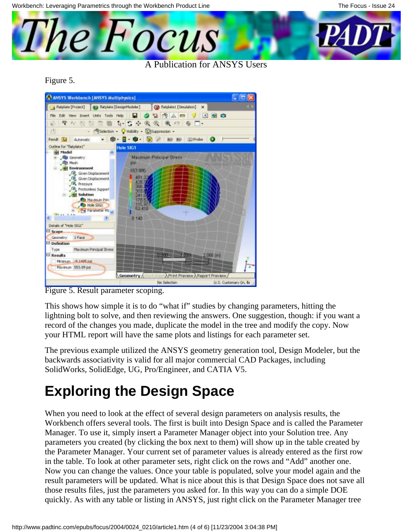Workbench: Leveraging Parametrics through the Workbench Product Line



Figure 5.



Figure 5. Result parameter scoping.

This shows how simple it is to do "what if" studies by changing parameters, hitting the lightning bolt to solve, and then reviewing the answers. One suggestion, though: if you want a record of the changes you made, duplicate the model in the tree and modify the copy. Now your HTML report will have the same plots and listings for each parameter set.

The previous example utilized the ANSYS geometry generation tool, Design Modeler, but the backwards associativity is valid for all major commercial CAD Packages, including SolidWorks, SolidEdge, UG, Pro/Engineer, and CATIA V5.

## **Exploring the Design Space**

When you need to look at the effect of several design parameters on analysis results, the Workbench offers several tools. The first is built into Design Space and is called the Parameter Manager. To use it, simply insert a Parameter Manager object into your Solution tree. Any parameters you created (by clicking the box next to them) will show up in the table created by the Parameter Manager. Your current set of parameter values is already entered as the first row in the table. To look at other parameter sets, right click on the rows and "Add" another one. Now you can change the values. Once your table is populated, solve your model again and the result parameters will be updated. What is nice about this is that Design Space does not save all those results files, just the parameters you asked for. In this way you can do a simple DOE quickly. As with any table or listing in ANSYS, just right click on the Parameter Manager tree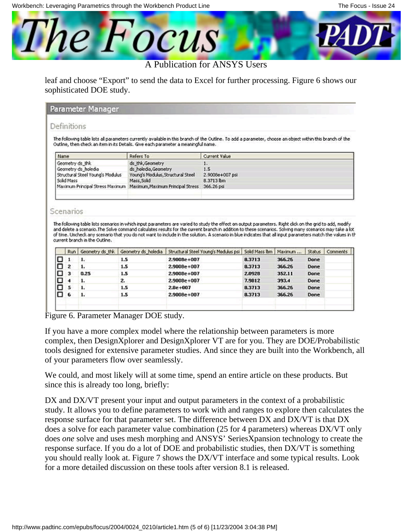

#### A Publication for ANSYS Users

leaf and choose "Export" to send the data to Excel for further processing. Figure 6 shows our sophisticated DOE study.

| Parameter Manager |  |  |
|-------------------|--|--|
|                   |  |  |

#### Definitions

The following table lists all parameters currently available in this branch of the Outline. To add a parameter, choose an object within this branch of the Outline, then check an item in its Details. Give each parameter a meaningful name.

|                                                                    | Current Value   |
|--------------------------------------------------------------------|-----------------|
| ds thk, Geometry                                                   |                 |
| ds holedia, Geometry                                               | 1.5             |
| Young's Modulus, Structural Steel                                  | 2.9008e+007 psi |
| Mass, Solid                                                        | 8.3713 lbm      |
| Maximum Principal Stress Maximum Maximum, Maximum Principal Stress | 366.26 psi      |
|                                                                    |                 |

#### Scenarios

The following table lists scenarios in which input parameters are varied to study the effect on output parameters. Right click on the grid to add, modify and delete a scenario. The Solve command calculates results for the current branch in addition to these scenarios. Solving many scenarios may take a lot of time. Uncheck any scenario that you do not want to include in the solution. A scenario in blue indicates that all input parameters match the values in th current branch in the Outline.

|   | Run | Geometry ds this | Geometry ds holedia | Structural Steel Young's Modulus psi   Solid Mass Ibm   Maximum |        |        | <b>Status</b> | Comments |
|---|-----|------------------|---------------------|-----------------------------------------------------------------|--------|--------|---------------|----------|
|   |     | 1.               | 1.5                 | 2,9008e+007                                                     | 8.3713 | 366.26 | Done          |          |
|   | 2   | 1.               | 1.5                 | 2,9008e+007                                                     | 8.3713 | 366,26 | Done          |          |
|   | з   | 0.25             | 1.5                 | 2,9008e+007                                                     | 2,0928 | 352.11 | Done          |          |
|   |     | 1.               | z.                  | 2.9008e+007                                                     | 7.9812 | 393.4  | Done          |          |
| ш | s   |                  | 1.5                 | $2.8e + 007$                                                    | 8.3713 | 366.26 | Done          |          |
| ш | 6   | 1.               | 1.5                 | 2.9008e+007                                                     | 8.3713 | 366,26 | Done          |          |
|   |     |                  |                     |                                                                 |        |        |               |          |
|   |     |                  |                     |                                                                 |        |        |               |          |

Figure 6. Parameter Manager DOE study.

If you have a more complex model where the relationship between parameters is more complex, then DesignXplorer and DesignXplorer VT are for you. They are DOE/Probabilistic tools designed for extensive parameter studies. And since they are built into the Workbench, all of your parameters flow over seamlessly.

We could, and most likely will at some time, spend an entire article on these products. But since this is already too long, briefly:

DX and DX/VT present your input and output parameters in the context of a probabilistic study. It allows you to define parameters to work with and ranges to explore then calculates the response surface for that parameter set. The difference between DX and DX/VT is that DX does a solve for each parameter value combination (25 for 4 parameters) whereas DX/VT only does *one* solve and uses mesh morphing and ANSYS' SeriesXpansion technology to create the response surface. If you do a lot of DOE and probabilistic studies, then DX/VT is something you should really look at. Figure 7 shows the DX/VT interface and some typical results. Look for a more detailed discussion on these tools after version 8.1 is released.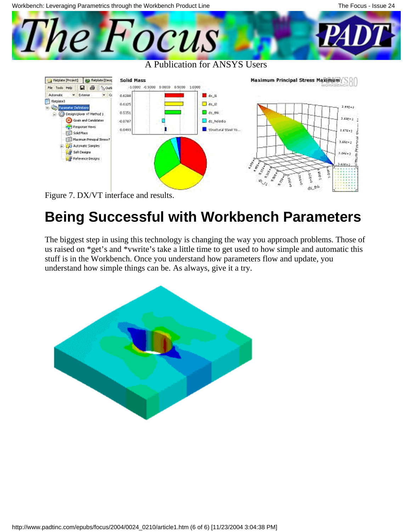



## **Being Successful with Workbench Parameters**

The biggest step in using this technology is changing the way you approach problems. Those of us raised on \*get's and \*vwrite's take a little time to get used to how simple and automatic this stuff is in the Workbench. Once you understand how parameters flow and update, you understand how simple things can be. As always, give it a try.

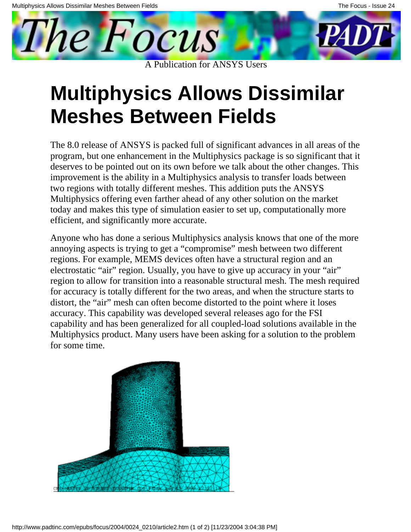<span id="page-7-0"></span>

# **Multiphysics Allows Dissimilar Meshes Between Fields**

The 8.0 release of ANSYS is packed full of significant advances in all areas of the program, but one enhancement in the Multiphysics package is so significant that it deserves to be pointed out on its own before we talk about the other changes. This improvement is the ability in a Multiphysics analysis to transfer loads between two regions with totally different meshes. This addition puts the ANSYS Multiphysics offering even farther ahead of any other solution on the market today and makes this type of simulation easier to set up, computationally more efficient, and significantly more accurate.

Anyone who has done a serious Multiphysics analysis knows that one of the more annoying aspects is trying to get a "compromise" mesh between two different regions. For example, MEMS devices often have a structural region and an electrostatic "air" region. Usually, you have to give up accuracy in your "air" region to allow for transition into a reasonable structural mesh. The mesh required for accuracy is totally different for the two areas, and when the structure starts to distort, the "air" mesh can often become distorted to the point where it loses accuracy. This capability was developed several releases ago for the FSI capability and has been generalized for all coupled-load solutions available in the Multiphysics product. Many users have been asking for a solution to the problem for some time.

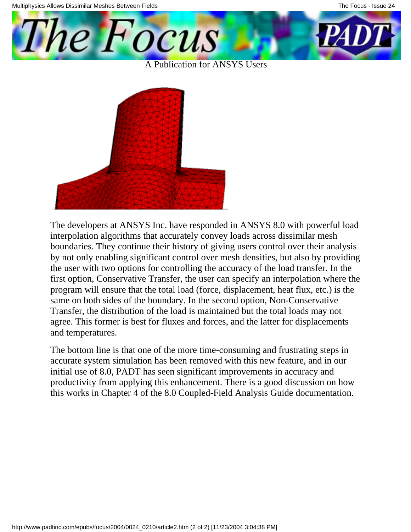The Focus

A Publication for ANSYS Users



The developers at ANSYS Inc. have responded in ANSYS 8.0 with powerful load interpolation algorithms that accurately convey loads across dissimilar mesh boundaries. They continue their history of giving users control over their analysis by not only enabling significant control over mesh densities, but also by providing the user with two options for controlling the accuracy of the load transfer. In the first option, Conservative Transfer, the user can specify an interpolation where the program will ensure that the total load (force, displacement, heat flux, etc.) is the same on both sides of the boundary. In the second option, Non-Conservative Transfer, the distribution of the load is maintained but the total loads may not agree. This former is best for fluxes and forces, and the latter for displacements and temperatures.

The bottom line is that one of the more time-consuming and frustrating steps in accurate system simulation has been removed with this new feature, and in our initial use of 8.0, PADT has seen significant improvements in accuracy and productivity from applying this enhancement. There is a good discussion on how this works in Chapter 4 of the 8.0 Coupled-Field Analysis Guide documentation.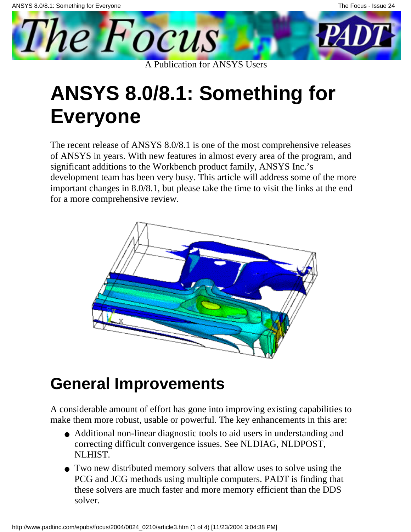<span id="page-9-0"></span>

# **ANSYS 8.0/8.1: Something for Everyone**

The recent release of ANSYS 8.0/8.1 is one of the most comprehensive releases of ANSYS in years. With new features in almost every area of the program, and significant additions to the Workbench product family, ANSYS Inc.'s development team has been very busy. This article will address some of the more important changes in 8.0/8.1, but please take the time to visit the links at the end for a more comprehensive review.



## **General Improvements**

A considerable amount of effort has gone into improving existing capabilities to make them more robust, usable or powerful. The key enhancements in this are:

- Additional non-linear diagnostic tools to aid users in understanding and correcting difficult convergence issues. See NLDIAG, NLDPOST, NLHIST.
- Two new distributed memory solvers that allow uses to solve using the PCG and JCG methods using multiple computers. PADT is finding that these solvers are much faster and more memory efficient than the DDS solver.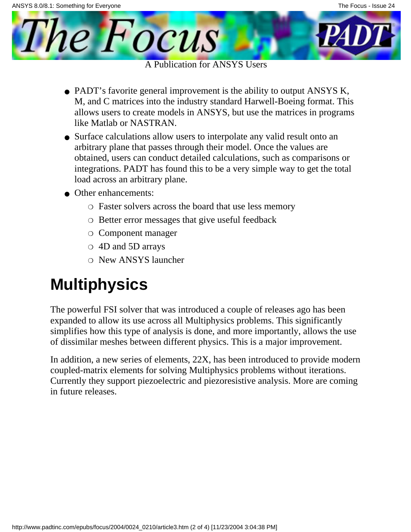A Publication for ANSYS Users

- PADT's favorite general improvement is the ability to output ANSYS K, M, and C matrices into the industry standard Harwell-Boeing format. This allows users to create models in ANSYS, but use the matrices in programs like Matlab or NASTRAN.
- Surface calculations allow users to interpolate any valid result onto an arbitrary plane that passes through their model. Once the values are obtained, users can conduct detailed calculations, such as comparisons or integrations. PADT has found this to be a very simple way to get the total load across an arbitrary plane.
- Other enhancements:

The *Focus* 

- ❍ Faster solvers across the board that use less memory
- ❍ Better error messages that give useful feedback
- ❍ Component manager
- ❍ 4D and 5D arrays
- ❍ New ANSYS launcher

## **Multiphysics**

The powerful FSI solver that was introduced a couple of releases ago has been expanded to allow its use across all Multiphysics problems. This significantly simplifies how this type of analysis is done, and more importantly, allows the use of dissimilar meshes between different physics. This is a major improvement.

In addition, a new series of elements, 22X, has been introduced to provide modern coupled-matrix elements for solving Multiphysics problems without iterations. Currently they support piezoelectric and piezoresistive analysis. More are coming in future releases.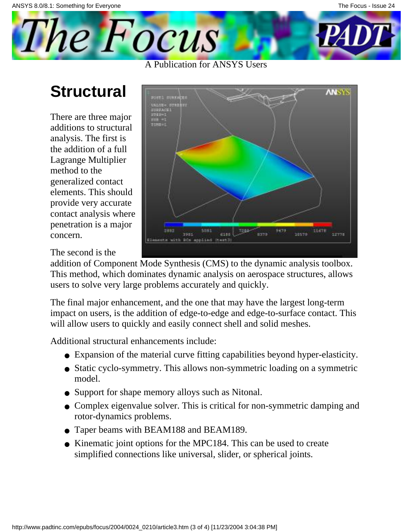## **Structural**

The Focus

There are three major additions to structural analysis. The first is the addition of a full Lagrange Multiplier method to the generalized contact elements. This should provide very accurate contact analysis where penetration is a major concern.

**ANSYS** 7300 8379 10579 1981 6180 12778 with BCs applied

The second is the

addition of Component Mode Synthesis (CMS) to the dynamic analysis toolbox. This method, which dominates dynamic analysis on aerospace structures, allows users to solve very large problems accurately and quickly.

A Publication for ANSYS Users

The final major enhancement, and the one that may have the largest long-term impact on users, is the addition of edge-to-edge and edge-to-surface contact. This will allow users to quickly and easily connect shell and solid meshes.

Additional structural enhancements include:

- Expansion of the material curve fitting capabilities beyond hyper-elasticity.
- Static cyclo-symmetry. This allows non-symmetric loading on a symmetric model.
- Support for shape memory alloys such as Nitonal.
- Complex eigenvalue solver. This is critical for non-symmetric damping and rotor-dynamics problems.
- Taper beams with BEAM188 and BEAM189.
- Kinematic joint options for the MPC184. This can be used to create simplified connections like universal, slider, or spherical joints.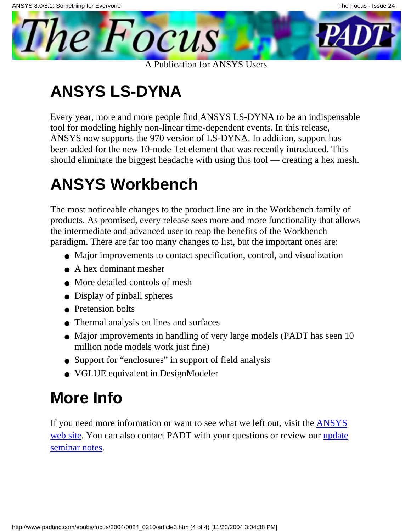A Publication for ANSYS Users

## **ANSYS LS-DYNA**

The Focus

Every year, more and more people find ANSYS LS-DYNA to be an indispensable tool for modeling highly non-linear time-dependent events. In this release, ANSYS now supports the 970 version of LS-DYNA. In addition, support has been added for the new 10-node Tet element that was recently introduced. This should eliminate the biggest headache with using this tool — creating a hex mesh.

## **ANSYS Workbench**

The most noticeable changes to the product line are in the Workbench family of products. As promised, every release sees more and more functionality that allows the intermediate and advanced user to reap the benefits of the Workbench paradigm. There are far too many changes to list, but the important ones are:

- Major improvements to contact specification, control, and visualization
- A hex dominant mesher
- More detailed controls of mesh
- Display of pinball spheres
- Pretension bolts
- Thermal analysis on lines and surfaces
- Major improvements in handling of very large models (PADT has seen 10 million node models work just fine)
- Support for "enclosures" in support of field analysis
- VGLUE equivalent in DesignModeler

## **More Info**

If you need more information or want to see what we left out, visit the **[ANSYS](http://www.ansys.com/ansys/new_features)** [web site](http://www.ansys.com/ansys/new_features). You can also contact PADT with your questions or review our [update](ftp://ftp.padtinc.com/public/seminars/2003_11_12_Ansys80Update.zip) [seminar notes](ftp://ftp.padtinc.com/public/seminars/2003_11_12_Ansys80Update.zip).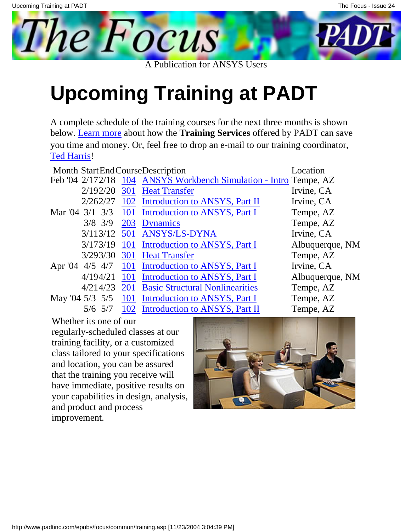**Upcoming Training at PADT**

A complete schedule of the training courses for the next three months is shown below. [Learn more](http://www.padtinc.com/support/training/default.asp) about how the **Training Services** offered by PADT can save you time and money. Or, feel free to drop an e-mail to our training coordinator, [Ted Harris](mailto:ted.harris@padtinc.com)!

A Publication for ANSYS Users

|                         |            | Month Start End Course Description                                | Location        |
|-------------------------|------------|-------------------------------------------------------------------|-----------------|
|                         |            | Feb '04 2/172/18 104 ANSYS Workbench Simulation - Intro Tempe, AZ |                 |
| 2/192/20                | 301        | <b>Heat Transfer</b>                                              | Irvine, CA      |
| 2/262/27                | 102        | Introduction to ANSYS, Part II                                    | Irvine, CA      |
| Mar '04 3/1 3/3 101     |            | Introduction to ANSYS, Part I                                     | Tempe, AZ       |
| $3/8$ 3/9               | 203        | <b>Dynamics</b>                                                   | Tempe, AZ       |
| 3/113/12                | 501        | <b>ANSYS/LS-DYNA</b>                                              | Irvine, CA      |
| 3/173/19                | 101        | Introduction to ANSYS, Part I                                     | Albuquerque, NM |
| 3/293/30                | 301        | <b>Heat Transfer</b>                                              | Tempe, AZ       |
| Apr '04 $4/5$ $4/7$ 101 |            | Introduction to ANSYS, Part I                                     | Irvine, CA      |
|                         |            | 4/194/21 101 Introduction to ANSYS, Part I                        | Albuquerque, NM |
| 4/214/23                | <b>201</b> | <b>Basic Structural Nonlinearities</b>                            | Tempe, AZ       |
| May '04 $5/3$ $5/5$ 101 |            | Introduction to ANSYS, Part I                                     | Tempe, AZ       |
| $5/6$ 5/7               |            | 102 Introduction to ANSYS, Part II                                | Tempe, AZ       |

Whether it s one of our

regularly-scheduled classes at our training facility, or a customized class tailored to your specifications and location, you can be assured that the training you receive will have immediate, positive results on your capabilities in design, analysis, and product and process improvement.

<span id="page-13-0"></span>The Focus